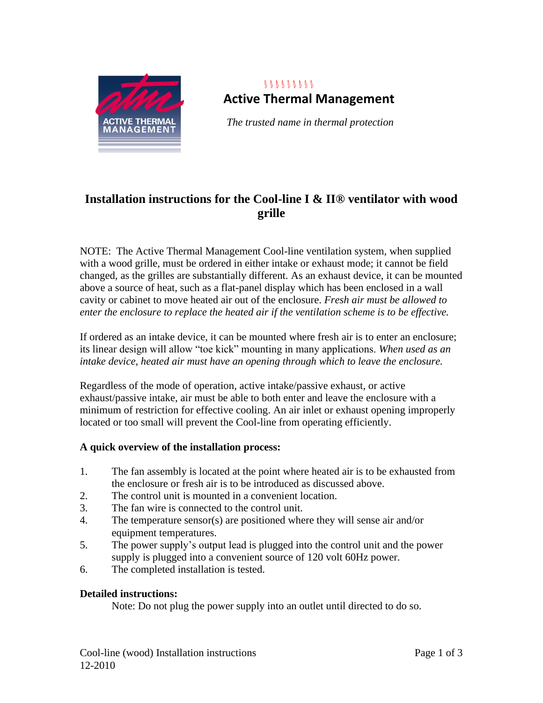

# $8888888888$ **Active Thermal Management**

*The trusted name in thermal protection*

## **Installation instructions for the Cool-line I & II® ventilator with wood grille**

NOTE: The Active Thermal Management Cool-line ventilation system, when supplied with a wood grille, must be ordered in either intake or exhaust mode; it cannot be field changed, as the grilles are substantially different. As an exhaust device, it can be mounted above a source of heat, such as a flat-panel display which has been enclosed in a wall cavity or cabinet to move heated air out of the enclosure. *Fresh air must be allowed to enter the enclosure to replace the heated air if the ventilation scheme is to be effective.* 

If ordered as an intake device, it can be mounted where fresh air is to enter an enclosure; its linear design will allow "toe kick" mounting in many applications. *When used as an intake device, heated air must have an opening through which to leave the enclosure.*

Regardless of the mode of operation, active intake/passive exhaust, or active exhaust/passive intake, air must be able to both enter and leave the enclosure with a minimum of restriction for effective cooling. An air inlet or exhaust opening improperly located or too small will prevent the Cool-line from operating efficiently.

### **A quick overview of the installation process:**

- 1. The fan assembly is located at the point where heated air is to be exhausted from the enclosure or fresh air is to be introduced as discussed above.
- 2. The control unit is mounted in a convenient location.
- 3. The fan wire is connected to the control unit.
- 4. The temperature sensor(s) are positioned where they will sense air and/or equipment temperatures.
- 5. The power supply's output lead is plugged into the control unit and the power supply is plugged into a convenient source of 120 volt 60Hz power.
- 6. The completed installation is tested.

### **Detailed instructions:**

Note: Do not plug the power supply into an outlet until directed to do so.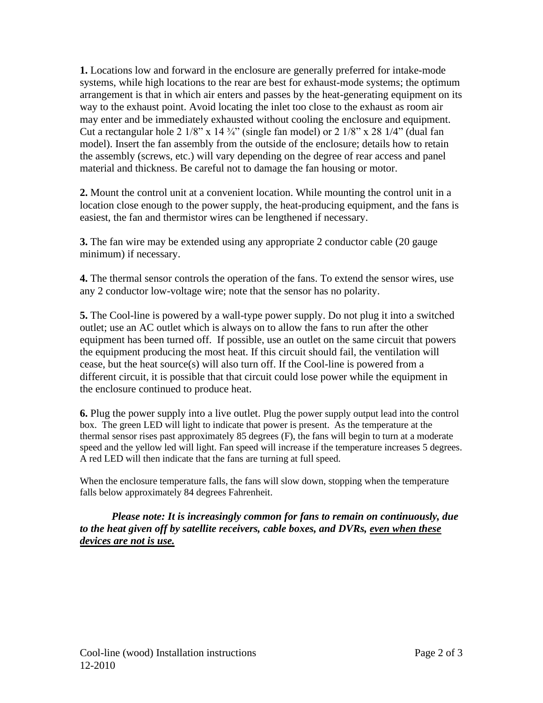**1.** Locations low and forward in the enclosure are generally preferred for intake-mode systems, while high locations to the rear are best for exhaust-mode systems; the optimum arrangement is that in which air enters and passes by the heat-generating equipment on its way to the exhaust point. Avoid locating the inlet too close to the exhaust as room air may enter and be immediately exhausted without cooling the enclosure and equipment. Cut a rectangular hole 2  $1/8$ " x  $14\frac{3}{4}$ " (single fan model) or 2  $1/8$ " x 28  $1/4$ " (dual fan model). Insert the fan assembly from the outside of the enclosure; details how to retain the assembly (screws, etc.) will vary depending on the degree of rear access and panel material and thickness. Be careful not to damage the fan housing or motor.

**2.** Mount the control unit at a convenient location. While mounting the control unit in a location close enough to the power supply, the heat-producing equipment, and the fans is easiest, the fan and thermistor wires can be lengthened if necessary.

**3.** The fan wire may be extended using any appropriate 2 conductor cable (20 gauge minimum) if necessary.

**4.** The thermal sensor controls the operation of the fans. To extend the sensor wires, use any 2 conductor low-voltage wire; note that the sensor has no polarity.

**5.** The Cool-line is powered by a wall-type power supply. Do not plug it into a switched outlet; use an AC outlet which is always on to allow the fans to run after the other equipment has been turned off. If possible, use an outlet on the same circuit that powers the equipment producing the most heat. If this circuit should fail, the ventilation will cease, but the heat source(s) will also turn off. If the Cool-line is powered from a different circuit, it is possible that that circuit could lose power while the equipment in the enclosure continued to produce heat.

**6.** Plug the power supply into a live outlet. Plug the power supply output lead into the control box. The green LED will light to indicate that power is present. As the temperature at the thermal sensor rises past approximately 85 degrees (F), the fans will begin to turn at a moderate speed and the yellow led will light. Fan speed will increase if the temperature increases 5 degrees. A red LED will then indicate that the fans are turning at full speed.

When the enclosure temperature falls, the fans will slow down, stopping when the temperature falls below approximately 84 degrees Fahrenheit.

*Please note: It is increasingly common for fans to remain on continuously, due to the heat given off by satellite receivers, cable boxes, and DVRs, even when these devices are not is use.*